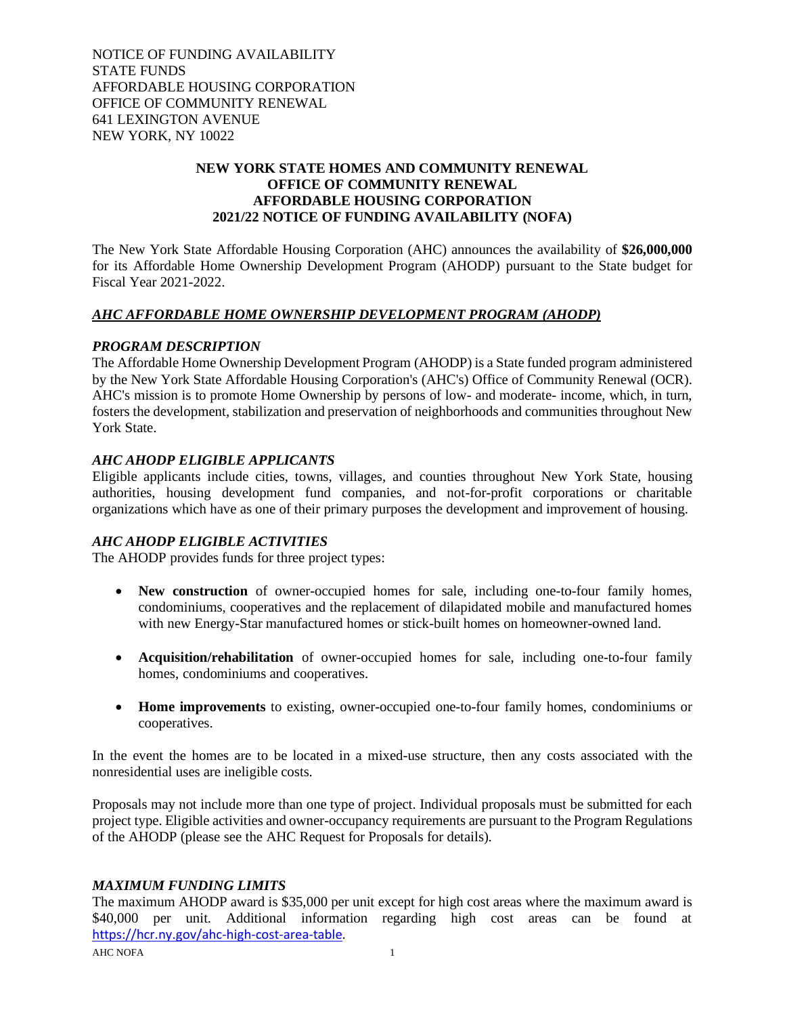NOTICE OF FUNDING AVAILABILITY STATE FUNDS AFFORDABLE HOUSING CORPORATION OFFICE OF COMMUNITY RENEWAL 641 LEXINGTON AVENUE NEW YORK, NY 10022

## **NEW YORK STATE HOMES AND COMMUNITY RENEWAL OFFICE OF COMMUNITY RENEWAL AFFORDABLE HOUSING CORPORATION 2021/22 NOTICE OF FUNDING AVAILABILITY (NOFA)**

The New York State Affordable Housing Corporation (AHC) announces the availability of **\$26,000,000** for its Affordable Home Ownership Development Program (AHODP) pursuant to the State budget for Fiscal Year 2021-2022.

## *AHC AFFORDABLE HOME OWNERSHIP DEVELOPMENT PROGRAM (AHODP)*

#### *PROGRAM DESCRIPTION*

The Affordable Home Ownership Development Program (AHODP) is a State funded program administered by the New York State Affordable Housing Corporation's (AHC's) Office of Community Renewal (OCR). AHC's mission is to promote Home Ownership by persons of low- and moderate- income, which, in turn, fosters the development, stabilization and preservation of neighborhoods and communities throughout New York State.

## *AHC AHODP ELIGIBLE APPLICANTS*

Eligible applicants include cities, towns, villages, and counties throughout New York State, housing authorities, housing development fund companies, and not-for-profit corporations or charitable organizations which have as one of their primary purposes the development and improvement of housing.

#### *AHC AHODP ELIGIBLE ACTIVITIES*

The AHODP provides funds for three project types:

- **New construction** of owner-occupied homes for sale, including one-to-four family homes, condominiums, cooperatives and the replacement of dilapidated mobile and manufactured homes with new Energy-Star manufactured homes or stick-built homes on homeowner-owned land.
- **Acquisition/rehabilitation** of owner-occupied homes for sale, including one-to-four family homes, condominiums and cooperatives.
- **Home improvements** to existing, owner-occupied one-to-four family homes, condominiums or cooperatives.

In the event the homes are to be located in a mixed-use structure, then any costs associated with the nonresidential uses are ineligible costs.

Proposals may not include more than one type of project. Individual proposals must be submitted for each project type. Eligible activities and owner-occupancy requirements are pursuant to the Program Regulations of the AHODP (please see the AHC Request for Proposals for details).

#### *MAXIMUM FUNDING LIMITS*

The maximum AHODP award is \$35,000 per unit except for high cost areas where the maximum award is \$40,000 per unit. Additional information regarding high cost areas can be found at [https://hcr.ny.gov/ahc-high-cost-area-table.](https://hcr.ny.gov/ahc-high-cost-area-table)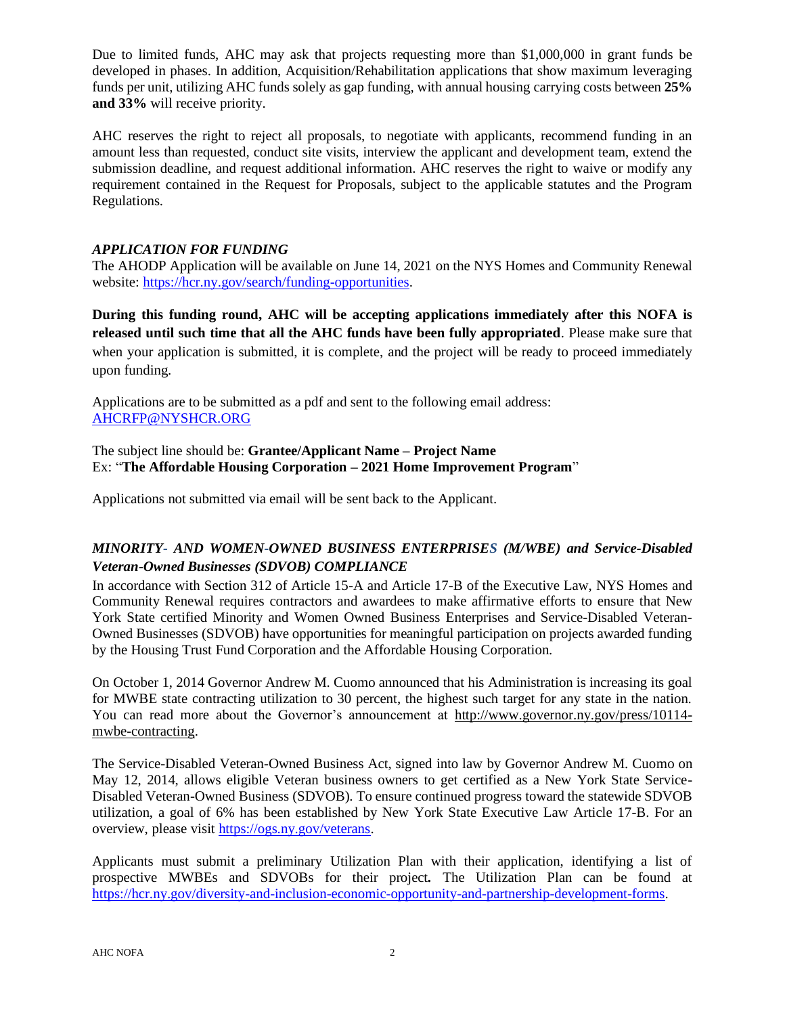Due to limited funds, AHC may ask that projects requesting more than \$1,000,000 in grant funds be developed in phases. In addition, Acquisition/Rehabilitation applications that show maximum leveraging funds per unit, utilizing AHC funds solely as gap funding, with annual housing carrying costs between **25% and 33%** will receive priority.

AHC reserves the right to reject all proposals, to negotiate with applicants, recommend funding in an amount less than requested, conduct site visits, interview the applicant and development team, extend the submission deadline, and request additional information. AHC reserves the right to waive or modify any requirement contained in the Request for Proposals, subject to the applicable statutes and the Program Regulations.

## *APPLICATION FOR FUNDING*

The AHODP Application will be available on June 14, 2021 on the NYS Homes and Community Renewal website: [https://hcr.ny.gov/search/funding-opportunities.](https://hcr.ny.gov/search/funding-opportunities)

**During this funding round, AHC will be accepting applications immediately after this NOFA is released until such time that all the AHC funds have been fully appropriated**. Please make sure that when your application is submitted, it is complete, and the project will be ready to proceed immediately upon funding.

Applications are to be submitted as a pdf and sent to the following email address: [AHCRFP@NYSHCR.ORG](mailto:AHCRFP@NYSHCR.ORG)

The subject line should be: **Grantee/Applicant Name – Project Name** Ex: "**The Affordable Housing Corporation – 2021 Home Improvement Program**"

Applications not submitted via email will be sent back to the Applicant.

# *MINORITY- AND WOMEN-OWNED BUSINESS ENTERPRISES (M/WBE) and Service-Disabled Veteran-Owned Businesses (SDVOB) COMPLIANCE*

In accordance with Section 312 of Article 15-A and Article 17-B of the Executive Law, NYS Homes and Community Renewal requires contractors and awardees to make affirmative efforts to ensure that New York State certified Minority and Women Owned Business Enterprises and Service-Disabled Veteran-Owned Businesses (SDVOB) have opportunities for meaningful participation on projects awarded funding by the Housing Trust Fund Corporation and the Affordable Housing Corporation.

On October 1, 2014 Governor Andrew M. Cuomo announced that his Administration is increasing its goal for MWBE state contracting utilization to 30 percent, the highest such target for any state in the nation. You can read more about the Governor's announcement at [http://www.governor.ny.gov/press/10114](http://www.governor.ny.gov/press/10114-mwbe-contracting) [mwbe-contracting.](http://www.governor.ny.gov/press/10114-mwbe-contracting)

The Service-Disabled Veteran-Owned Business Act, signed into law by Governor Andrew M. Cuomo on May 12, 2014, allows eligible Veteran business owners to get certified as a New York State Service-Disabled Veteran-Owned Business (SDVOB). To ensure continued progress toward the statewide SDVOB utilization, a goal of 6% has been established by New York State Executive Law Article 17-B. For an overview, please visit [https://ogs.ny.gov/veterans.](https://ogs.ny.gov/veterans)

Applicants must submit a preliminary Utilization Plan with their application, identifying a list of prospective MWBEs and SDVOBs for their project*.* The Utilization Plan can be found at [https://hcr.ny.gov/diversity-and-inclusion-economic-opportunity-and-partnership-development-forms.](https://hcr.ny.gov/diversity-and-inclusion-economic-opportunity-and-partnership-development-forms)